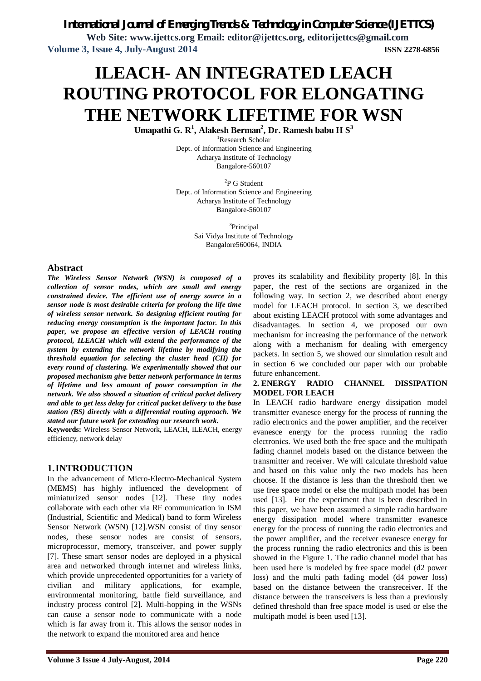# *International Journal of Emerging Trends & Technology in Computer Science (IJETTCS)*

**Web Site: www.ijettcs.org Email: editor@ijettcs.org, editorijettcs@gmail.com Volume 3, Issue 4, July-August 2014 ISSN 2278-6856**

# **ILEACH- AN INTEGRATED LEACH ROUTING PROTOCOL FOR ELONGATING THE NETWORK LIFETIME FOR WSN**

**Umapathi G. R<sup>1</sup> , Alakesh Berman<sup>2</sup> , Dr. Ramesh babu H S<sup>3</sup>**

<sup>1</sup>Research Scholar Dept. of Information Science and Engineering Acharya Institute of Technology Bangalore-560107

<sup>2</sup>P G Student Dept. of Information Science and Engineering Acharya Institute of Technology Bangalore-560107

> <sup>3</sup>Principal Sai Vidya Institute of Technology Bangalore560064, INDIA

### **Abstract**

*The Wireless Sensor Network (WSN) is composed of a collection of sensor nodes, which are small and energy constrained device. The efficient use of energy source in a sensor node is most desirable criteria for prolong the life time of wireless sensor network. So designing efficient routing for reducing energy consumption is the important factor. In this paper, we propose an effective version of LEACH routing protocol, ILEACH which will extend the performance of the system by extending the network lifetime by modifying the threshold equation for selecting the cluster head (CH) for every round of clustering. We experimentally showed that our proposed mechanism give better network performance in terms of lifetime and less amount of power consumption in the network. We also showed a situation of critical packet delivery and able to get less delay for critical packet delivery to the base station (BS) directly with a differential routing approach. We stated our future work for extending our research work.* 

**Keywords:** Wireless Sensor Network, LEACH, ILEACH, energy efficiency, network delay

### **1.INTRODUCTION**

In the advancement of Micro-Electro-Mechanical System (MEMS) has highly influenced the development of miniaturized sensor nodes [12]. These tiny nodes collaborate with each other via RF communication in ISM (Industrial, Scientific and Medical) band to form Wireless Sensor Network (WSN) [12].WSN consist of tiny sensor nodes, these sensor nodes are consist of sensors, microprocessor, memory, transceiver, and power supply [7]. These smart sensor nodes are deployed in a physical area and networked through internet and wireless links, which provide unprecedented opportunities for a variety of civilian and military applications, for example, environmental monitoring, battle field surveillance, and industry process control [2]. Multi-hopping in the WSNs can cause a sensor node to communicate with a node which is far away from it. This allows the sensor nodes in the network to expand the monitored area and hence

proves its scalability and flexibility property [8]. In this paper, the rest of the sections are organized in the following way. In section 2, we described about energy model for LEACH protocol. In section 3, we described about existing LEACH protocol with some advantages and disadvantages. In section 4, we proposed our own mechanism for increasing the performance of the network along with a mechanism for dealing with emergency packets. In section 5, we showed our simulation result and in section 6 we concluded our paper with our probable future enhancement.

#### **2. ENERGY RADIO CHANNEL DISSIPATION MODEL FOR LEACH**

In LEACH radio hardware energy dissipation model transmitter evanesce energy for the process of running the radio electronics and the power amplifier, and the receiver evanesce energy for the process running the radio electronics. We used both the free space and the multipath fading channel models based on the distance between the transmitter and receiver. We will calculate threshold value and based on this value only the two models has been choose. If the distance is less than the threshold then we use free space model or else the multipath model has been used [13]. For the experiment that is been described in this paper, we have been assumed a simple radio hardware energy dissipation model where transmitter evanesce energy for the process of running the radio electronics and the power amplifier, and the receiver evanesce energy for the process running the radio electronics and this is been showed in the Figure 1. The radio channel model that has been used here is modeled by free space model (d2 power loss) and the multi path fading model (d4 power loss) based on the distance between the transreceiver. If the distance between the transceivers is less than a previously defined threshold than free space model is used or else the multipath model is been used [13].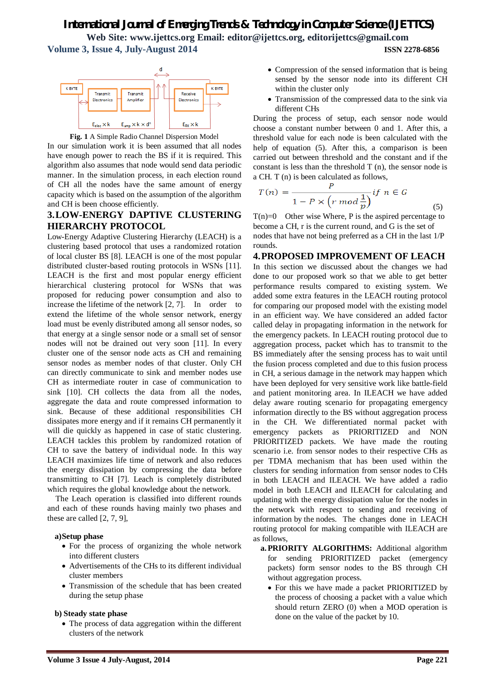

**Fig. 1** A Simple Radio Channel Dispersion Model

In our simulation work it is been assumed that all nodes have enough power to reach the BS if it is required. This algorithm also assumes that node would send data periodic manner. In the simulation process, in each election round of CH all the nodes have the same amount of energy capacity which is based on the assumption of the algorithm and CH is been choose efficiently.

### **3.LOW-ENERGY DAPTIVE CLUSTERING HIERARCHY PROTOCOL**

Low-Energy Adaptive Clustering Hierarchy (LEACH) is a clustering based protocol that uses a randomized rotation of local cluster BS [8]. LEACH is one of the most popular distributed cluster-based routing protocols in WSNs [11]. LEACH is the first and most popular energy efficient hierarchical clustering protocol for WSNs that was proposed for reducing power consumption and also to increase the lifetime of the network [2, 7]. In order to extend the lifetime of the whole sensor network, energy load must be evenly distributed among all sensor nodes, so that energy at a single sensor node or a small set of sensor nodes will not be drained out very soon [11]. In every cluster one of the sensor node acts as CH and remaining sensor nodes as member nodes of that cluster. Only CH can directly communicate to sink and member nodes use CH as intermediate router in case of communication to sink [10]. CH collects the data from all the nodes, aggregate the data and route compressed information to sink. Because of these additional responsibilities CH dissipates more energy and if it remains CH permanently it will die quickly as happened in case of static clustering. LEACH tackles this problem by randomized rotation of CH to save the battery of individual node. In this way LEACH maximizes life time of network and also reduces the energy dissipation by compressing the data before transmitting to CH [7]. Leach is completely distributed which requires the global knowledge about the network.

The Leach operation is classified into different rounds and each of these rounds having mainly two phases and these are called [2, 7, 9],

### **a)Setup phase**

- For the process of organizing the whole network into different clusters
- Advertisements of the CHs to its different individual cluster members
- Transmission of the schedule that has been created during the setup phase

### **b) Steady state phase**

• The process of data aggregation within the different clusters of the network

- Compression of the sensed information that is being sensed by the sensor node into its different CH within the cluster only
- Transmission of the compressed data to the sink via different CHs

During the process of setup, each sensor node would choose a constant number between 0 and 1. After this, a threshold value for each node is been calculated with the help of equation (5). After this, a comparison is been carried out between threshold and the constant and if the constant is less than the threshold  $T(n)$ , the sensor node is a CH. T (n) is been calculated as follows,

$$
T(n) = \frac{P}{1 - P \times \left(r \mod \frac{1}{p}\right)} \text{ if } n \in G
$$
\n<sup>(5)</sup>

 $T(n)=0$  Other wise Where, P is the aspired percentage to become a CH, r is the current round, and G is the set of nodes that have not being preferred as a CH in the last 1/P rounds.

# **4.PROPOSED IMPROVEMENT OF LEACH** In this section we discussed about the changes we had

done to our proposed work so that we able to get better performance results compared to existing system. We added some extra features in the LEACH routing protocol for comparing our proposed model with the existing model in an efficient way. We have considered an added factor called delay in propagating information in the network for the emergency packets. In LEACH routing protocol due to aggregation process, packet which has to transmit to the BS immediately after the sensing process has to wait until the fusion process completed and due to this fusion process in CH, a serious damage in the network may happen which have been deployed for very sensitive work like battle-field and patient monitoring area. In ILEACH we have added delay aware routing scenario for propagating emergency information directly to the BS without aggregation process in the CH. We differentiated normal packet with emergency packets as PRIORITIZED and NON PRIORITIZED packets. We have made the routing scenario i.e. from sensor nodes to their respective CHs as per TDMA mechanism that has been used within the clusters for sending information from sensor nodes to CHs in both LEACH and ILEACH. We have added a radio model in both LEACH and ILEACH for calculating and updating with the energy dissipation value for the nodes in the network with respect to sending and receiving of information by the nodes. The changes done in LEACH routing protocol for making compatible with ILEACH are as follows,

- **a.PRIORITY ALGORITHMS:** Additional algorithm for sending PRIORITIZED packet (emergency packets) form sensor nodes to the BS through CH without aggregation process.
	- For this we have made a packet PRIORITIZED by the process of choosing a packet with a value which should return ZERO (0) when a MOD operation is done on the value of the packet by 10.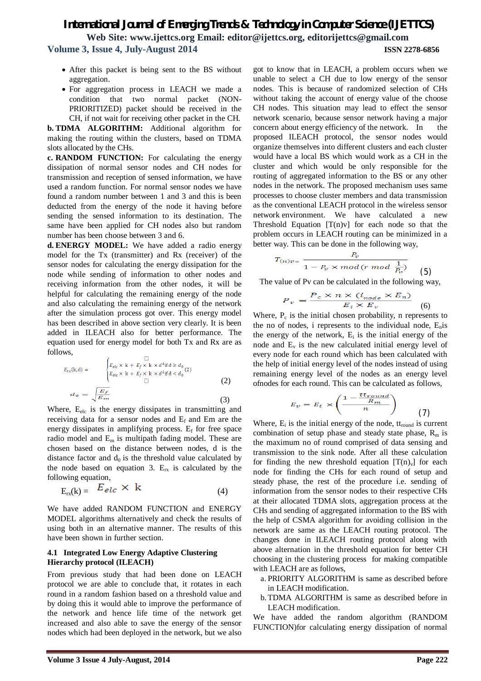- After this packet is being sent to the BS without aggregation.
- For aggregation process in LEACH we made a condition that two normal packet (NON-PRIORITIZED) packet should be received in the CH, if not wait for receiving other packet in the CH.

**b. TDMA ALGORITHM:** Additional algorithm for making the routing within the clusters, based on TDMA slots allocated by the CHs.

**c. RANDOM FUNCTION:** For calculating the energy dissipation of normal sensor nodes and CH nodes for transmission and reception of sensed information, we have used a random function. For normal sensor nodes we have found a random number between 1 and 3 and this is been deducted from the energy of the node it having before sending the sensed information to its destination. The same have been applied for CH nodes also but random number has been choose between 3 and 6.

**d. ENERGY MODEL:** We have added a radio energy model for the Tx (transmitter) and Rx (receiver) of the sensor nodes for calculating the energy dissipation for the node while sending of information to other nodes and receiving information from the other nodes, it will be helpful for calculating the remaining energy of the node and also calculating the remaining energy of the network after the simulation process got over. This energy model has been described in above section very clearly. It is been added in ILEACH also for better performance. The equation used for energy model for both Tx and Rx are as follows,

$$
E_{tx}(\mathbf{k}, \mathbf{d}) = \begin{cases} E_{elc} \times \mathbf{k} + E_f \times \mathbf{k} \times d^4 \text{if } \mathbf{d} \ge d_0 \\ E_{elc} \times \mathbf{k} + E_f \times \mathbf{k} \times d^2 \text{if } \mathbf{d} < d_0 \end{cases} (2)
$$
\n
$$
d_{\mathbf{Q}} = \sqrt{\frac{E_f}{E_m}}
$$
\n(3)

Where, E<sub>elc</sub> is the energy dissipates in transmitting and receiving data for a sensor nodes and  $E_f$  and Em are the energy dissipates in amplifying process.  $E_f$  for free space radio model and  $E_m$  is multipath fading model. These are chosen based on the distance between nodes, d is the distance factor and  $d_0$  is the threshold value calculated by the node based on equation 3.  $E_{rx}$  is calculated by the following equation,

$$
E_{rx}(k) = E_{elc} \times k \tag{4}
$$

We have added RANDOM FUNCTION and ENERGY MODEL algorithms alternatively and check the results of using both in an alternative manner. The results of this have been shown in further section.

### **4.1 Integrated Low Energy Adaptive Clustering Hierarchy protocol (ILEACH)**

From previous study that had been done on LEACH protocol we are able to conclude that, it rotates in each round in a random fashion based on a threshold value and by doing this it would able to improve the performance of the network and hence life time of the network get increased and also able to save the energy of the sensor nodes which had been deployed in the network, but we also

got to know that in LEACH, a problem occurs when we unable to select a CH due to low energy of the sensor nodes. This is because of randomized selection of CHs without taking the account of energy value of the choose CH nodes. This situation may lead to effect the sensor network scenario, because sensor network having a major concern about energy efficiency of the network. In the proposed ILEACH protocol, the sensor nodes would organize themselves into different clusters and each cluster would have a local BS which would work as a CH in the cluster and which would be only responsible for the routing of aggregated information to the BS or any other nodes in the network. The proposed mechanism uses same processes to choose cluster members and data transmission as the conventional LEACH protocol in the wireless sensor network environment. We have calculated a new Threshold Equation  $[T(n)v]$  for each node so that the problem occurs in LEACH routing can be minimized in a better way. This can be done in the following way,

$$
T_{(n)v} = \frac{P_v}{1 - P_v \times mod(r \mod \frac{1}{P_v})}
$$
 (5)

The value of Pv can be calculated in the following way,

$$
P_v = \frac{P_c \times n \times (i_{node} \times E_n)}{E_i \times E_v}
$$
 (6)

Where,  $P_c$  is the initial chosen probability, n represents to the no of nodes, i represents to the individual node,  $E_n$  is the energy of the network,  $E_i$  is the initial energy of the node and  $E_v$  is the new calculated initial energy level of every node for each round which has been calculated with the help of initial energy level of the nodes instead of using remaining energy level of the nodes as an energy level ofnodes for each round. This can be calculated as follows,

$$
E_v = E_i \times \left(\frac{1 - \frac{t t_{round}}{R_m}}{n}\right) \tag{7}
$$

Where,  $E_i$  is the initial energy of the node, tt<sub>round</sub> is current combination of setup phase and steady state phase,  $R_m$  is the maximum no of round comprised of data sensing and transmission to the sink node. After all these calculation for finding the new threshold equation  $[T(n)_v]$  for each node for finding the CHs for each round of setup and steady phase, the rest of the procedure i.e. sending of information from the sensor nodes to their respective CHs at their allocated TDMA slots, aggregation process at the CHs and sending of aggregated information to the BS with the help of CSMA algorithm for avoiding collision in the network are same as the LEACH routing protocol. The changes done in ILEACH routing protocol along with above alternation in the threshold equation for better CH choosing in the clustering process for making compatible with LEACH are as follows,

- a. PRIORITY ALGORITHM is same as described before in LEACH modification.
- b. TDMA ALGORITHM is same as described before in LEACH modification.

We have added the random algorithm (RANDOM FUNCTION)for calculating energy dissipation of normal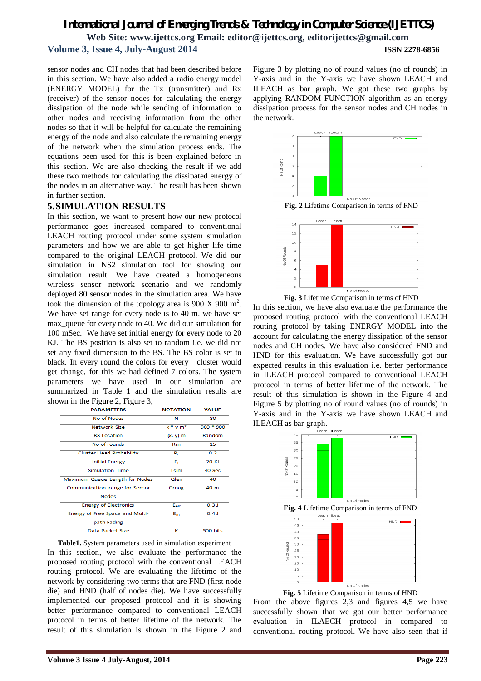sensor nodes and CH nodes that had been described before in this section. We have also added a radio energy model (ENERGY MODEL) for the Tx (transmitter) and Rx (receiver) of the sensor nodes for calculating the energy dissipation of the node while sending of information to other nodes and receiving information from the other nodes so that it will be helpful for calculate the remaining energy of the node and also calculate the remaining energy of the network when the simulation process ends. The equations been used for this is been explained before in this section. We are also checking the result if we add these two methods for calculating the dissipated energy of the nodes in an alternative way. The result has been shown in further section.

## **5.SIMULATION RESULTS**

In this section, we want to present how our new protocol performance goes increased compared to conventional LEACH routing protocol under some system simulation parameters and how we are able to get higher life time compared to the original LEACH protocol. We did our simulation in NS2 simulation tool for showing our simulation result. We have created a homogeneous wireless sensor network scenario and we randomly deployed 80 sensor nodes in the simulation area. We have took the dimension of the topology area is 900 X 900 m<sup>2</sup>. We have set range for every node is to 40 m. we have set max queue for every node to 40. We did our simulation for 100 mSec. We have set initial energy for every node to 20 KJ. The BS position is also set to random i.e. we did not set any fixed dimension to the BS. The BS color is set to black. In every round the colors for every cluster would get change, for this we had defined 7 colors. The system parameters we have used in our simulation are summarized in Table 1 and the simulation results are shown in the Figure 2, Figure 3,

| <b>NOTATION</b> | <b>VALUE</b> |
|-----------------|--------------|
| N               | 80           |
| $x * y m2$      | 900 * 900    |
| $(x, y)$ m      | Random       |
| <b>Rm</b>       | 15           |
| P <sub>c</sub>  | 0.2          |
| E.              | 20 KJ        |
| <b>Tsim</b>     | 40 Sec       |
| Olen            | 40           |
| Crnag           | 40 m         |
|                 |              |
| Eeld            | 0.3J         |
| $E_{\rm{m}}$    | 0.4J         |
|                 |              |
| ĸ               | 500 bits     |
|                 |              |

**Table1.** System parameters used in simulation experiment In this section, we also evaluate the performance the proposed routing protocol with the conventional LEACH routing protocol. We are evaluating the lifetime of the network by considering two terms that are FND (first node die) and HND (half of nodes die). We have successfully implemented our proposed protocol and it is showing better performance compared to conventional LEACH protocol in terms of better lifetime of the network. The result of this simulation is shown in the Figure 2 and

Figure 3 by plotting no of round values (no of rounds) in Y-axis and in the Y-axis we have shown LEACH and ILEACH as bar graph. We got these two graphs by applying RANDOM FUNCTION algorithm as an energy dissipation process for the sensor nodes and CH nodes in the network.



**Fig. 2** Lifetime Comparison in terms of FND



**Fig. 3** Lifetime Comparison in terms of HND

In this section, we have also evaluate the performance the proposed routing protocol with the conventional LEACH routing protocol by taking ENERGY MODEL into the account for calculating the energy dissipation of the sensor nodes and CH nodes. We have also considered FND and HND for this evaluation. We have successfully got our expected results in this evaluation i.e. better performance in ILEACH protocol compared to conventional LEACH protocol in terms of better lifetime of the network. The result of this simulation is shown in the Figure 4 and Figure 5 by plotting no of round values (no of rounds) in Y-axis and in the Y-axis we have shown LEACH and ILEACH as bar graph.



**Fig. 5** Lifetime Comparison in terms of HND

From the above figures 2,3 and figures 4,5 we have successfully shown that we got our better performance evaluation in ILAECH protocol in compared to conventional routing protocol. We have also seen that if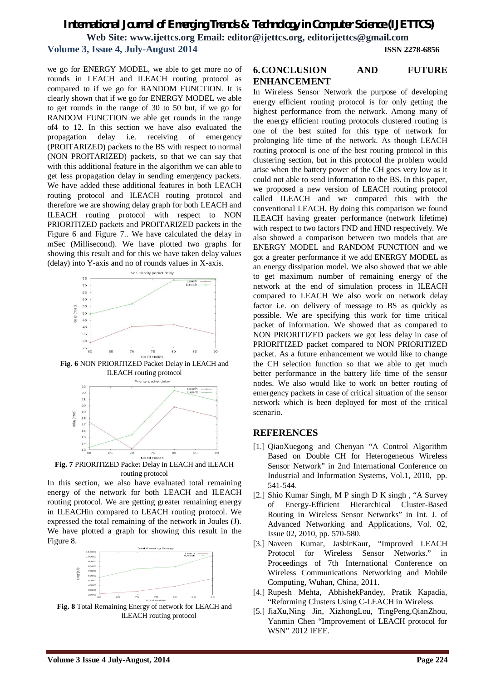we go for ENERGY MODEL, we able to get more no of rounds in LEACH and ILEACH routing protocol as compared to if we go for RANDOM FUNCTION. It is clearly shown that if we go for ENERGY MODEL we able to get rounds in the range of 30 to 50 but, if we go for RANDOM FUNCTION we able get rounds in the range of4 to 12. In this section we have also evaluated the propagation delay i.e. receiving of emergency (PROITARIZED) packets to the BS with respect to normal (NON PROITARIZED) packets, so that we can say that with this additional feature in the algorithm we can able to get less propagation delay in sending emergency packets. We have added these additional features in both LEACH routing protocol and ILEACH routing protocol and therefore we are showing delay graph for both LEACH and ILEACH routing protocol with respect to NON PRIORITIZED packets and PROITARIZED packets in the Figure 6 and Figure 7.. We have calculated the delay in mSec (Millisecond). We have plotted two graphs for showing this result and for this we have taken delay values (delay) into Y-axis and no of rounds values in X-axis.



**Fig. 6** NON PRIORITIZED Packet Delay in LEACH and ILEACH routing protocol



**Fig. 7** PRIORITIZED Packet Delay in LEACH and ILEACH routing protocol

In this section, we also have evaluated total remaining energy of the network for both LEACH and ILEACH routing protocol. We are getting greater remaining energy in ILEACHin compared to LEACH routing protocol. We expressed the total remaining of the network in Joules (J). We have plotted a graph for showing this result in the Figure 8.



**Fig. 8** Total Remaining Energy of network for LEACH and ILEACH routing protocol

# **6.CONCLUSION AND FUTURE ENHANCEMENT**

In Wireless Sensor Network the purpose of developing energy efficient routing protocol is for only getting the highest performance from the network. Among many of the energy efficient routing protocols clustered routing is one of the best suited for this type of network for prolonging life time of the network. As though LEACH routing protocol is one of the best routing protocol in this clustering section, but in this protocol the problem would arise when the battery power of the CH goes very low as it could not able to send information to the BS. In this paper, we proposed a new version of LEACH routing protocol called ILEACH and we compared this with the conventional LEACH. By doing this comparison we found ILEACH having greater performance (network lifetime) with respect to two factors FND and HND respectively. We also showed a comparison between two models that are ENERGY MODEL and RANDOM FUNCTION and we got a greater performance if we add ENERGY MODEL as an energy dissipation model. We also showed that we able to get maximum number of remaining energy of the network at the end of simulation process in ILEACH compared to LEACH We also work on network delay factor i.e. on delivery of message to BS as quickly as possible. We are specifying this work for time critical packet of information. We showed that as compared to NON PRIORITIZED packets we got less delay in case of PRIORITIZED packet compared to NON PRIORITIZED packet. As a future enhancement we would like to change the CH selection function so that we able to get much better performance in the battery life time of the sensor nodes. We also would like to work on better routing of emergency packets in case of critical situation of the sensor network which is been deployed for most of the critical scenario.

### **REFERENCES**

- [1.] QiaoXuegong and Chenyan "A Control Algorithm Based on Double CH for Heterogeneous Wireless Sensor Network" in 2nd International Conference on Industrial and Information Systems, Vol.1, 2010, pp. 541-544.
- [2.] Shio Kumar Singh, M P singh D K singh, "A Survey" of Energy-Efficient Hierarchical Cluster-Based Routing in Wireless Sensor Networks" in Int. J. of Advanced Networking and Applications, Vol. 02, Issue 02, 2010, pp. 570-580.
- [3.] Naveen Kumar, JasbirKaur, "Improved LEACH Protocol for Wireless Sensor Networks." in Proceedings of 7th International Conference on Wireless Communications Networking and Mobile Computing, Wuhan, China, 2011.
- [4.] Rupesh Mehta, AbhishekPandey, Pratik Kapadia, "Reforming Clusters Using C-LEACH in Wireless
- [5.] JiaXu,Ning Jin, XizhongLou, TingPeng,QianZhou, Yanmin Chen "Improvement of LEACH protocol for WSN" 2012 IEEE.